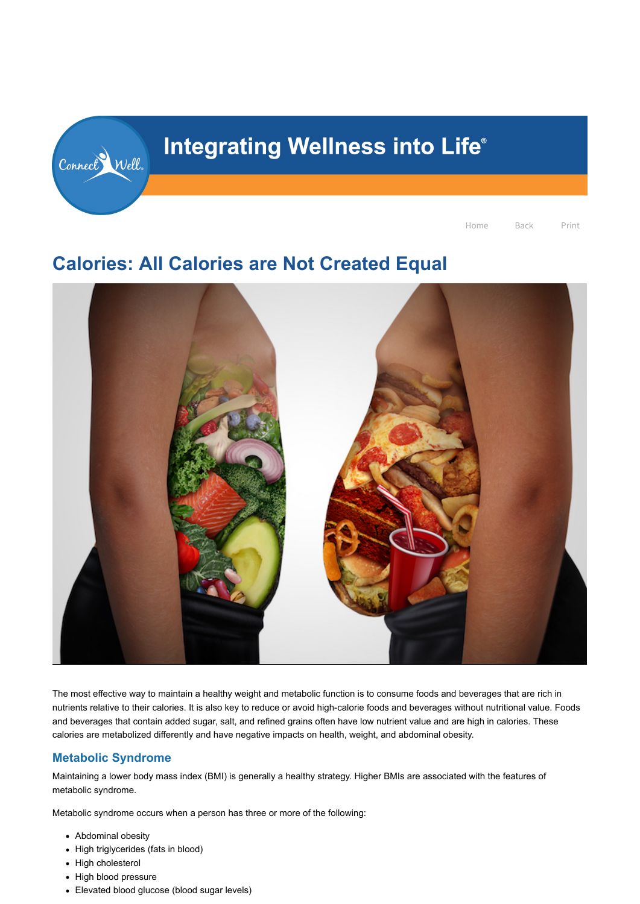# **Calories: All Calories are Not Created Equal**



The most effective way to maintain a healthy weight and metabolic function is to consume foods and beverages that are rich in nutrients relative to their calories. It is also key to reduce or avoid high-calorie foods and beverages without nutritional value. Foods and beverages that contain added sugar, salt, and refined grains often have low nutrient value and are high in calories. These calories are metabolized differently and have negative impacts on health, weight, and abdominal obesity.

# **Metabolic Syndrome**

Maintaining a lower body mass index (BMI) is generally a healthy strategy. Higher BMIs are associated with the features of metabolic syndrome.

Metabolic syndrome occurs when a person has three or more of the following:

- Abdominal obesity
- High triglycerides (fats in blood)
- High cholesterol
- High blood pressure
- Elevated blood glucose (blood sugar levels)